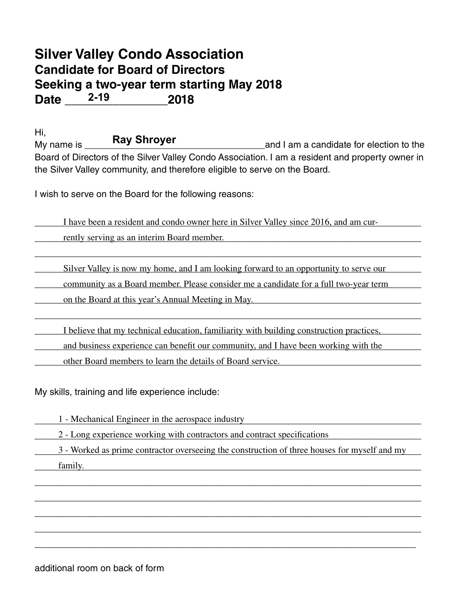## **Silver Valley Condo Association Candidate for Board of Directors Seeking a two-year term starting May 2018 Date \_\_\_\_\_\_\_\_\_\_\_\_\_\_\_2018 2-19**

Hi,  $M_V$  name is  $M_V$   $\sim$   $\sim$   $\sim$   $\sim$   $\sim$   $\sim$   $\sim$  and I am a candidate for election to the Board of Directors of the Silver Valley Condo Association. I am a resident and property owner in the Silver Valley community, and therefore eligible to serve on the Board. **Ray Shroyer**

I wish to serve on the Board for the following reasons:

I have been a resident and condo owner here in Silver Valley since 2016, and am cur-

when the rently serving as an interim Board member.

Silver Valley is now my home, and I am looking forward to an opportunity to serve our

\_\_\_\_\_\_\_\_\_\_\_\_\_\_\_\_\_\_\_\_\_\_\_\_\_\_\_\_\_\_\_\_\_\_\_\_\_\_\_\_\_\_\_\_\_\_\_\_\_\_\_\_\_\_\_\_\_\_\_\_\_\_\_\_\_\_\_\_\_\_\_\_\_\_\_

\_\_\_\_\_\_\_\_\_\_\_\_\_\_\_\_\_\_\_\_\_\_\_\_\_\_\_\_\_\_\_\_\_\_\_\_\_\_\_\_\_\_\_\_\_\_\_\_\_\_\_\_\_\_\_\_\_\_\_\_\_\_\_\_\_\_\_\_\_\_\_\_\_\_\_

community as a Board member. Please consider me a candidate for a full two-year term

on the Board at this year's Annual Meeting in May.

I believe that my technical education, familiarity with building construction practices,

and business experience can benefit our community, and I have been working with the

other Board members to learn the details of Board service.

My skills, training and life experience include:

1 - Mechanical Engineer in the aerospace industry

2 - Long experience working with contractors and contract specifications

3 - Worked as prime contractor overseeing the construction of three houses for myself and my

\_\_\_\_\_\_\_\_\_\_\_\_\_\_\_\_\_\_\_\_\_\_\_\_\_\_\_\_\_\_\_\_\_\_\_\_\_\_\_\_\_\_\_\_\_\_\_\_\_\_\_\_\_\_\_\_\_\_\_\_\_\_\_\_\_\_\_\_\_\_\_\_\_\_\_

\_\_\_\_\_\_\_\_\_\_\_\_\_\_\_\_\_\_\_\_\_\_\_\_\_\_\_\_\_\_\_\_\_\_\_\_\_\_\_\_\_\_\_\_\_\_\_\_\_\_\_\_\_\_\_\_\_\_\_\_\_\_\_\_\_\_\_\_\_\_\_\_\_\_\_

\_\_\_\_\_\_\_\_\_\_\_\_\_\_\_\_\_\_\_\_\_\_\_\_\_\_\_\_\_\_\_\_\_\_\_\_\_\_\_\_\_\_\_\_\_\_\_\_\_\_\_\_\_\_\_\_\_\_\_\_\_\_\_\_\_\_\_\_\_\_\_\_\_\_\_

\_\_\_\_\_\_\_\_\_\_\_\_\_\_\_\_\_\_\_\_\_\_\_\_\_\_\_\_\_\_\_\_\_\_\_\_\_\_\_\_\_\_\_\_\_\_\_\_\_\_\_\_\_\_\_\_\_\_\_\_\_\_\_\_\_\_\_\_\_\_\_\_\_\_\_

\_\_\_\_\_\_\_\_\_\_\_\_\_\_\_\_\_\_\_\_\_\_\_\_\_\_\_\_\_\_\_\_\_\_\_\_\_\_\_\_\_\_\_\_\_\_\_\_\_\_\_\_\_\_\_\_\_\_\_\_\_\_\_\_\_\_\_\_\_\_\_\_\_\_

\_\_\_\_\_\_\_\_\_\_\_\_\_\_\_\_\_\_\_\_\_\_\_\_\_\_\_\_\_\_\_\_\_\_\_\_\_\_\_\_\_\_\_\_\_\_\_\_\_\_\_\_\_\_\_\_\_\_\_\_\_\_\_\_\_\_\_\_\_\_\_\_\_\_\_ family.

additional room on back of form